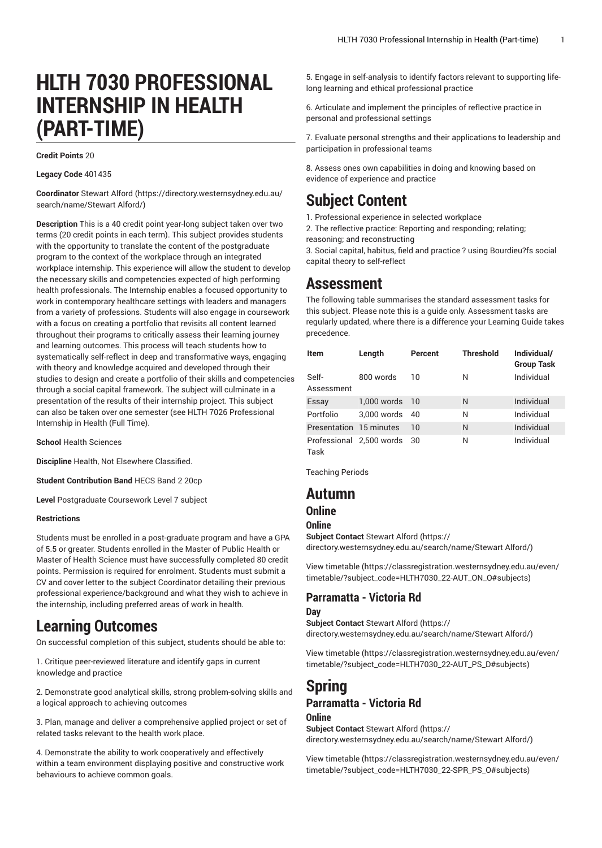# **HLTH 7030 PROFESSIONAL INTERNSHIP IN HEALTH (PART-TIME)**

#### **Credit Points** 20

#### **Legacy Code** 401435

**Coordinator** [Stewart](https://directory.westernsydney.edu.au/search/name/Stewart Alford/) Alford ([https://directory.westernsydney.edu.au/](https://directory.westernsydney.edu.au/search/name/Stewart Alford/) [search/name/Stewart](https://directory.westernsydney.edu.au/search/name/Stewart Alford/) Alford/)

**Description** This is a 40 credit point year-long subject taken over two terms (20 credit points in each term). This subject provides students with the opportunity to translate the content of the postgraduate program to the context of the workplace through an integrated workplace internship. This experience will allow the student to develop the necessary skills and competencies expected of high performing health professionals. The Internship enables a focused opportunity to work in contemporary healthcare settings with leaders and managers from a variety of professions. Students will also engage in coursework with a focus on creating a portfolio that revisits all content learned throughout their programs to critically assess their learning journey and learning outcomes. This process will teach students how to systematically self-reflect in deep and transformative ways, engaging with theory and knowledge acquired and developed through their studies to design and create a portfolio of their skills and competencies through a social capital framework. The subject will culminate in a presentation of the results of their internship project. This subject can also be taken over one semester (see HLTH 7026 Professional Internship in Health (Full Time).

**School** Health Sciences

**Discipline** Health, Not Elsewhere Classified.

**Student Contribution Band** HECS Band 2 20cp

**Level** Postgraduate Coursework Level 7 subject

#### **Restrictions**

Students must be enrolled in a post-graduate program and have a GPA of 5.5 or greater. Students enrolled in the Master of Public Health or Master of Health Science must have successfully completed 80 credit points. Permission is required for enrolment. Students must submit a CV and cover letter to the subject Coordinator detailing their previous professional experience/background and what they wish to achieve in the internship, including preferred areas of work in health.

## **Learning Outcomes**

On successful completion of this subject, students should be able to:

1. Critique peer-reviewed literature and identify gaps in current knowledge and practice

2. Demonstrate good analytical skills, strong problem-solving skills and a logical approach to achieving outcomes

3. Plan, manage and deliver a comprehensive applied project or set of related tasks relevant to the health work place.

4. Demonstrate the ability to work cooperatively and effectively within a team environment displaying positive and constructive work behaviours to achieve common goals.

5. Engage in self-analysis to identify factors relevant to supporting lifelong learning and ethical professional practice

6. Articulate and implement the principles of reflective practice in personal and professional settings

7. Evaluate personal strengths and their applications to leadership and participation in professional teams

8. Assess ones own capabilities in doing and knowing based on evidence of experience and practice

## **Subject Content**

- 1. Professional experience in selected workplace
- 2. The reflective practice: Reporting and responding; relating;
- reasoning; and reconstructing

3. Social capital, habitus, field and practice ? using Bourdieu?fs social capital theory to self-reflect

## **Assessment**

The following table summarises the standard assessment tasks for this subject. Please note this is a guide only. Assessment tasks are regularly updated, where there is a difference your Learning Guide takes precedence.

| <b>Item</b>             | Length                      | Percent | <b>Threshold</b> | Individual/<br><b>Group Task</b> |
|-------------------------|-----------------------------|---------|------------------|----------------------------------|
| Self-<br>Assessment     | 800 words                   | 10      | N                | Individual                       |
| Essay                   | 1.000 words 10              |         | N                | Individual                       |
| Portfolio               | 3.000 words                 | 40      | N                | Individual                       |
| Presentation 15 minutes |                             | 10      | N                | Individual                       |
| Task                    | Professional 2,500 words 30 |         | N                | Individual                       |

Teaching Periods

### **Autumn**

### **Online**

**Online**

**Subject Contact** [Stewart](https://directory.westernsydney.edu.au/search/name/Stewart Alford/) Alford ([https://](https://directory.westernsydney.edu.au/search/name/Stewart Alford/) [directory.westernsydney.edu.au/search/name/Stewart](https://directory.westernsydney.edu.au/search/name/Stewart Alford/) Alford/)

[View timetable](https://classregistration.westernsydney.edu.au/even/timetable/?subject_code=HLTH7030_22-AUT_ON_O#subjects) [\(https://classregistration.westernsydney.edu.au/even/](https://classregistration.westernsydney.edu.au/even/timetable/?subject_code=HLTH7030_22-AUT_ON_O#subjects) [timetable/?subject\\_code=HLTH7030\\_22-AUT\\_ON\\_O#subjects\)](https://classregistration.westernsydney.edu.au/even/timetable/?subject_code=HLTH7030_22-AUT_ON_O#subjects)

### **Parramatta - Victoria Rd**

#### **Day**

**Subject Contact** [Stewart](https://directory.westernsydney.edu.au/search/name/Stewart Alford/) Alford ([https://](https://directory.westernsydney.edu.au/search/name/Stewart Alford/) [directory.westernsydney.edu.au/search/name/Stewart](https://directory.westernsydney.edu.au/search/name/Stewart Alford/) Alford/)

[View timetable](https://classregistration.westernsydney.edu.au/even/timetable/?subject_code=HLTH7030_22-AUT_PS_D#subjects) [\(https://classregistration.westernsydney.edu.au/even/](https://classregistration.westernsydney.edu.au/even/timetable/?subject_code=HLTH7030_22-AUT_PS_D#subjects) [timetable/?subject\\_code=HLTH7030\\_22-AUT\\_PS\\_D#subjects](https://classregistration.westernsydney.edu.au/even/timetable/?subject_code=HLTH7030_22-AUT_PS_D#subjects))

## **Spring Parramatta - Victoria Rd**

## **Online**

**Subject Contact** [Stewart](https://directory.westernsydney.edu.au/search/name/Stewart Alford/) Alford ([https://](https://directory.westernsydney.edu.au/search/name/Stewart Alford/) [directory.westernsydney.edu.au/search/name/Stewart](https://directory.westernsydney.edu.au/search/name/Stewart Alford/) Alford/)

[View timetable](https://classregistration.westernsydney.edu.au/even/timetable/?subject_code=HLTH7030_22-SPR_PS_O#subjects) [\(https://classregistration.westernsydney.edu.au/even/](https://classregistration.westernsydney.edu.au/even/timetable/?subject_code=HLTH7030_22-SPR_PS_O#subjects) [timetable/?subject\\_code=HLTH7030\\_22-SPR\\_PS\\_O#subjects\)](https://classregistration.westernsydney.edu.au/even/timetable/?subject_code=HLTH7030_22-SPR_PS_O#subjects)